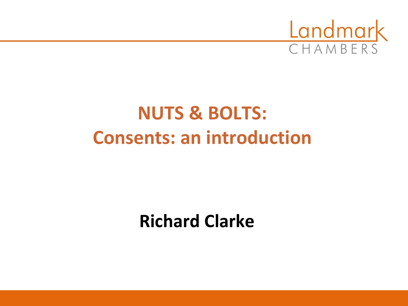

# **NUTS & BOLTS: Consents: an introduction**

# **Richard Clarke**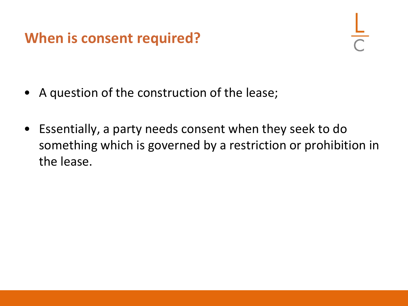#### **When is consent required?**

- A question of the construction of the lease;
- Essentially, a party needs consent when they seek to do something which is governed by a restriction or prohibition in the lease.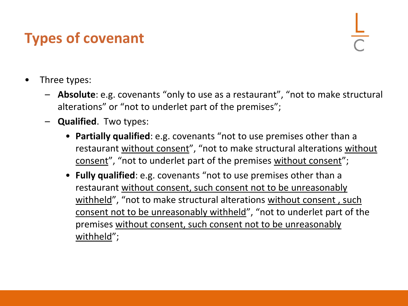## **Types of covenant**

- Three types:
	- **Absolute**: e.g. covenants "only to use as a restaurant", "not to make structural alterations" or "not to underlet part of the premises";
	- **Qualified**. Two types:
		- **Partially qualified**: e.g. covenants "not to use premises other than a restaurant without consent", "not to make structural alterations without consent", "not to underlet part of the premises without consent";
		- **Fully qualified**: e.g. covenants "not to use premises other than a restaurant without consent, such consent not to be unreasonably withheld", "not to make structural alterations without consent , such consent not to be unreasonably withheld", "not to underlet part of the premises without consent, such consent not to be unreasonably withheld";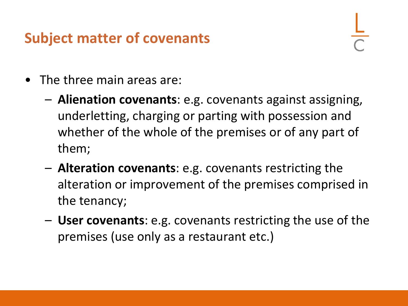#### **Subject matter of covenants**

- The three main areas are:
	- **Alienation covenants**: e.g. covenants against assigning, underletting, charging or parting with possession and whether of the whole of the premises or of any part of them;
	- **Alteration covenants**: e.g. covenants restricting the alteration or improvement of the premises comprised in the tenancy;
	- **User covenants**: e.g. covenants restricting the use of the premises (use only as a restaurant etc.)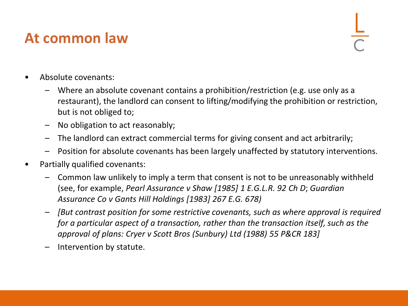#### **At common law**

- Absolute covenants:
	- Where an absolute covenant contains a prohibition/restriction (e.g. use only as a restaurant), the landlord can consent to lifting/modifying the prohibition or restriction, but is not obliged to;
	- No obligation to act reasonably;
	- The landlord can extract commercial terms for giving consent and act arbitrarily;
	- Position for absolute covenants has been largely unaffected by statutory interventions.
- Partially qualified covenants:
	- Common law unlikely to imply a term that consent is not to be unreasonably withheld (see, for example, *Pearl Assurance v Shaw [1985] 1 E.G.L.R. 92 Ch D*; *Guardian Assurance Co v Gants Hill Holdings [1983] 267 E.G. 678)*
	- *[But contrast position for some restrictive covenants, such as where approval is required for a particular aspect of a transaction, rather than the transaction itself, such as the approval of plans: Cryer v Scott Bros (Sunbury) Ltd (1988) 55 P&CR 183]*
	- Intervention by statute.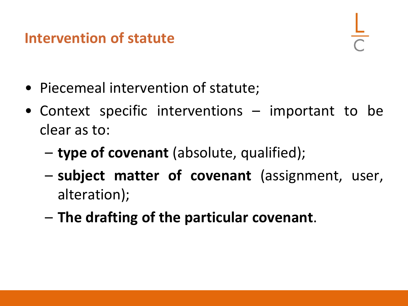#### **Intervention of statute**

- Piecemeal intervention of statute;
- Context specific interventions important to be clear as to:
	- **type of covenant** (absolute, qualified);
	- **subject matter of covenant** (assignment, user, alteration);
	- **The drafting of the particular covenant**.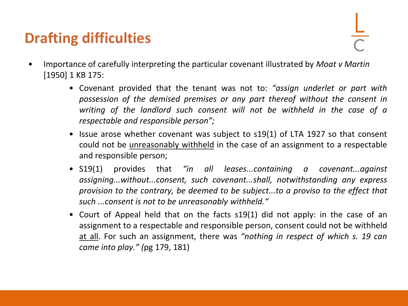### **Drafting difficulties**

- Importance of carefully interpreting the particular covenant illustrated by *Moat v Martin*  [1950] 1 KB 175:
	- Covenant provided that the tenant was not to: *"assign underlet or part with possession of the demised premises or any part thereof without the consent in writing of the landlord such consent will not be withheld in the case of a respectable and responsible person";*
	- Issue arose whether covenant was subject to s19(1) of LTA 1927 so that consent could not be *unreasonably withheld* in the case of an assignment to a respectable and responsible person;
	- S19(1) provides that *"in all leases...containing a covenant...against assigning...without...consent, such covenant...shall, notwithstanding any express provision to the contrary, be deemed to be subject...to a proviso to the effect that such ...consent is not to be unreasonably withheld."*
	- Court of Appeal held that on the facts s19(1) did not apply: in the case of an assignment to a respectable and responsible person, consent could not be withheld at all. For such an assignment, there was *"nothing in respect of which s. 19 can come into play." (*pg 179, 181)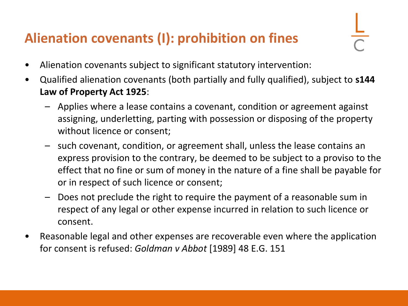#### **Alienation covenants (I): prohibition on fines**

- Alienation covenants subject to significant statutory intervention:
- Qualified alienation covenants (both partially and fully qualified), subject to **s144 Law of Property Act 1925**:
	- Applies where a lease contains a covenant, condition or agreement against assigning, underletting, parting with possession or disposing of the property without licence or consent;
	- such covenant, condition, or agreement shall, unless the lease contains an express provision to the contrary, be deemed to be subject to a proviso to the effect that no fine or sum of money in the nature of a fine shall be payable for or in respect of such licence or consent;
	- Does not preclude the right to require the payment of a reasonable sum in respect of any legal or other expense incurred in relation to such licence or consent.
- Reasonable legal and other expenses are recoverable even where the application for consent is refused: *Goldman v Abbot* [1989] 48 E.G. 151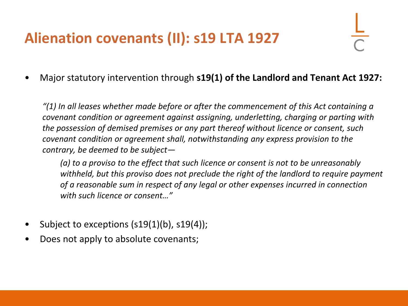## **Alienation covenants (II): s19 LTA 1927**

• Major statutory intervention through **s19(1) of the Landlord and Tenant Act 1927:**

*"(1) In all leases whether made before or after the commencement of this Act containing a covenant condition or agreement against assigning, underletting, charging or parting with the possession of demised premises or any part thereof without licence or consent, such covenant condition or agreement shall, notwithstanding any express provision to the contrary, be deemed to be subject—*

*(a) to a proviso to the effect that such licence or consent is not to be unreasonably withheld, but this proviso does not preclude the right of the landlord to require payment of a reasonable sum in respect of any legal or other expenses incurred in connection with such licence or consent…"*

- Subject to exceptions (s19(1)(b), s19(4));
- Does not apply to absolute covenants;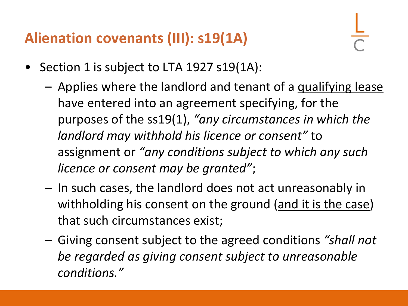#### **Alienation covenants (III): s19(1A)**

- Section 1 is subject to LTA 1927 s19(1A):
	- Applies where the landlord and tenant of a qualifying lease have entered into an agreement specifying, for the purposes of the ss19(1), *"any circumstances in which the landlord may withhold his licence or consent"* to assignment or *"any conditions subject to which any such licence or consent may be granted"*;
	- In such cases, the landlord does not act unreasonably in withholding his consent on the ground (and it is the case) that such circumstances exist;
	- Giving consent subject to the agreed conditions *"shall not be regarded as giving consent subject to unreasonable conditions."*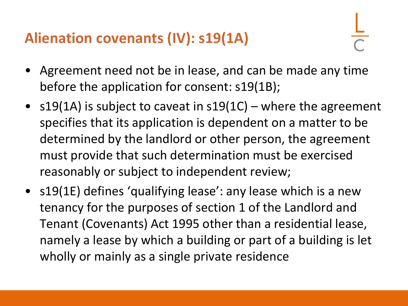#### **Alienation covenants (IV): s19(1A)**

- Agreement need not be in lease, and can be made any time before the application for consent: s19(1B);
- s19(1A) is subject to caveat in  $s19(1C)$  where the agreement specifies that its application is dependent on a matter to be determined by the landlord or other person, the agreement must provide that such determination must be exercised reasonably or subject to independent review;
- s19(1E) defines 'qualifying lease': any lease which is a new tenancy for the purposes of section 1 of the Landlord and Tenant (Covenants) Act 1995 other than a residential lease, namely a lease by which a building or part of a building is let wholly or mainly as a single private residence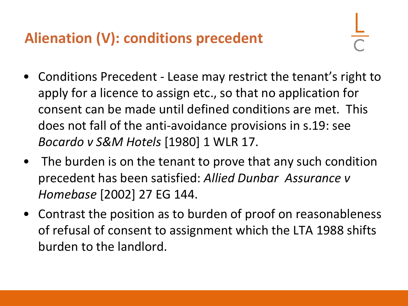### **Alienation (V): conditions precedent**

- Conditions Precedent Lease may restrict the tenant's right to apply for a licence to assign etc., so that no application for consent can be made until defined conditions are met. This does not fall of the anti-avoidance provisions in s.19: see *Bocardo v S&M Hotels* [1980] 1 WLR 17.
- The burden is on the tenant to prove that any such condition precedent has been satisfied: *Allied Dunbar Assurance v Homebase* [2002] 27 EG 144.
- Contrast the position as to burden of proof on reasonableness of refusal of consent to assignment which the LTA 1988 shifts burden to the landlord.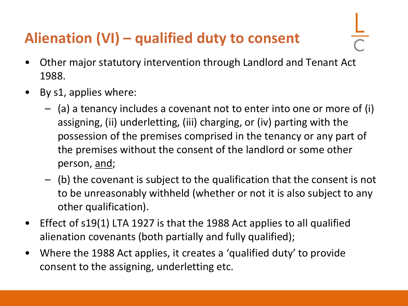## **Alienation (VI) – qualified duty to consent**

- Other major statutory intervention through Landlord and Tenant Act 1988.
- By s1, applies where:
	- (a) a tenancy includes a covenant not to enter into one or more of (i) assigning, (ii) underletting, (iii) charging, or (iv) parting with the possession of the premises comprised in the tenancy or any part of the premises without the consent of the landlord or some other person, and;
	- (b) the covenant is subject to the qualification that the consent is not to be unreasonably withheld (whether or not it is also subject to any other qualification).
- Effect of s19(1) LTA 1927 is that the 1988 Act applies to all qualified alienation covenants (both partially and fully qualified);
- Where the 1988 Act applies, it creates a 'qualified duty' to provide consent to the assigning, underletting etc.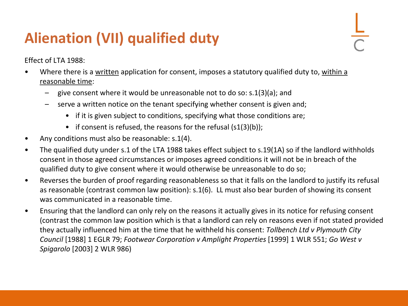## **Alienation (VII) qualified duty**

Effect of LTA 1988:

- Where there is a written application for consent, imposes a statutory qualified duty to, within a reasonable time:
	- give consent where it would be unreasonable not to do so: s.1(3)(a); and
	- serve a written notice on the tenant specifying whether consent is given and;
		- if it is given subject to conditions, specifying what those conditions are;
		- if consent is refused, the reasons for the refusal  $(s1(3)(b))$ ;
- Any conditions must also be reasonable: s.1(4).
- The qualified duty under s.1 of the LTA 1988 takes effect subject to s.19(1A) so if the landlord withholds consent in those agreed circumstances or imposes agreed conditions it will not be in breach of the qualified duty to give consent where it would otherwise be unreasonable to do so;
- Reverses the burden of proof regarding reasonableness so that it falls on the landlord to justify its refusal as reasonable (contrast common law position): s.1(6). LL must also bear burden of showing its consent was communicated in a reasonable time.
- Ensuring that the landlord can only rely on the reasons it actually gives in its notice for refusing consent (contrast the common law position which is that a landlord can rely on reasons even if not stated provided they actually influenced him at the time that he withheld his consent: *Tollbench Ltd v Plymouth City Council* [1988] 1 EGLR 79; *Footwear Corporation v Amplight Properties* [1999] 1 WLR 551; *Go West v Spigarolo* [2003] 2 WLR 986)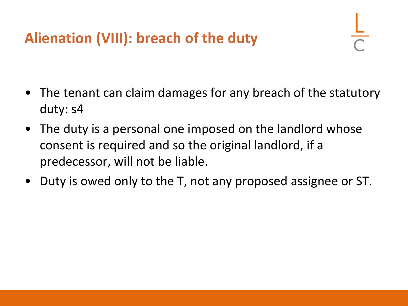## **Alienation (VIII): breach of the duty**

- The tenant can claim damages for any breach of the statutory duty: s4
- The duty is a personal one imposed on the landlord whose consent is required and so the original landlord, if a predecessor, will not be liable.
- Duty is owed only to the T, not any proposed assignee or ST.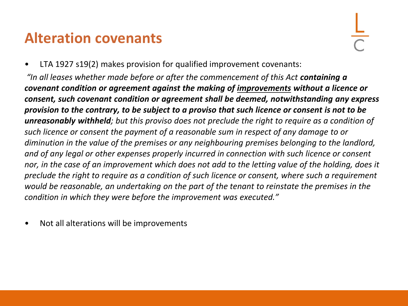#### **Alteration covenants**

• LTA 1927 s19(2) makes provision for qualified improvement covenants:

*"In all leases whether made before or after the commencement of this Act containing a covenant condition or agreement against the making of improvements without a licence or consent, such covenant condition or agreement shall be deemed, notwithstanding any express provision to the contrary, to be subject to a proviso that such licence or consent is not to be unreasonably withheld; but this proviso does not preclude the right to require as a condition of such licence or consent the payment of a reasonable sum in respect of any damage to or diminution in the value of the premises or any neighbouring premises belonging to the landlord, and of any legal or other expenses properly incurred in connection with such licence or consent nor, in the case of an improvement which does not add to the letting value of the holding, does it preclude the right to require as a condition of such licence or consent, where such a requirement would be reasonable, an undertaking on the part of the tenant to reinstate the premises in the condition in which they were before the improvement was executed."*

• Not all alterations will be improvements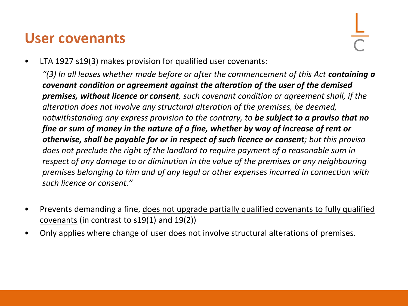#### **User covenants**

LTA 1927 s19(3) makes provision for qualified user covenants:

"(3) In all leases whether made before or after the commencement of this Act **containing a** *covenant condition or agreement against the alteration of the user of the demised premises, without licence or consent, such covenant condition or agreement shall, if the alteration does not involve any structural alteration of the premises, be deemed, notwithstanding any express provision to the contrary, to be subject to a proviso that no fine or sum of money in the nature of a fine, whether by way of increase of rent or otherwise, shall be payable for or in respect of such licence or consent; but this proviso does not preclude the right of the landlord to require payment of a reasonable sum in respect of any damage to or diminution in the value of the premises or any neighbouring premises belonging to him and of any legal or other expenses incurred in connection with such licence or consent."*

- Prevents demanding a fine, does not upgrade partially qualified covenants to fully qualified covenants (in contrast to s19(1) and 19(2))
- Only applies where change of user does not involve structural alterations of premises.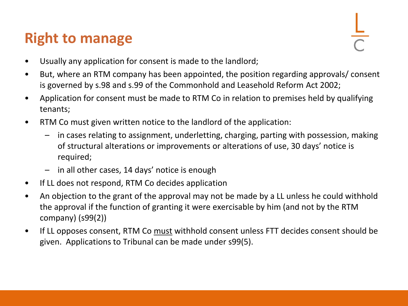#### **Right to manage**

- Usually any application for consent is made to the landlord;
- But, where an RTM company has been appointed, the position regarding approvals/ consent is governed by s.98 and s.99 of the Commonhold and Leasehold Reform Act 2002;
- Application for consent must be made to RTM Co in relation to premises held by qualifying tenants;
- RTM Co must given written notice to the landlord of the application:
	- in cases relating to assignment, underletting, charging, parting with possession, making of structural alterations or improvements or alterations of use, 30 days' notice is required;
	- in all other cases, 14 days' notice is enough
- If LL does not respond, RTM Co decides application
- An objection to the grant of the approval may not be made by a LL unless he could withhold the approval if the function of granting it were exercisable by him (and not by the RTM company) (s99(2))
- If LL opposes consent, RTM Co must withhold consent unless FTT decides consent should be given. Applications to Tribunal can be made under s99(5).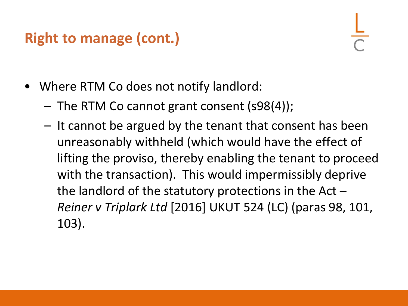### **Right to manage (cont.)**

- Where RTM Co does not notify landlord:
	- The RTM Co cannot grant consent (s98(4));
	- It cannot be argued by the tenant that consent has been unreasonably withheld (which would have the effect of lifting the proviso, thereby enabling the tenant to proceed with the transaction). This would impermissibly deprive the landlord of the statutory protections in the Act  $-$ *Reiner v Triplark Ltd* [2016] UKUT 524 (LC) (paras 98, 101, 103).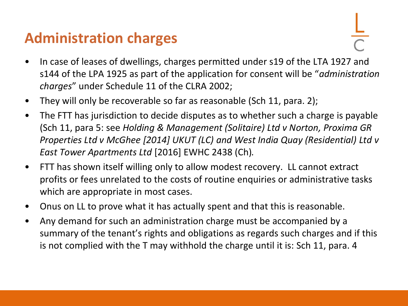#### **Administration charges**

- In case of leases of dwellings, charges permitted under s19 of the LTA 1927 and s144 of the LPA 1925 as part of the application for consent will be "*administration charges*" under Schedule 11 of the CLRA 2002;
- They will only be recoverable so far as reasonable (Sch 11, para. 2);
- The FTT has jurisdiction to decide disputes as to whether such a charge is payable (Sch 11, para 5: see *Holding & Management (Solitaire) Ltd v Norton, Proxima GR Properties Ltd v McGhee [2014] UKUT (LC) and West India Quay (Residential) Ltd v East Tower Apartments Ltd* [2016] EWHC 2438 (Ch)*.*
- FTT has shown itself willing only to allow modest recovery. LL cannot extract profits or fees unrelated to the costs of routine enquiries or administrative tasks which are appropriate in most cases.
- Onus on LL to prove what it has actually spent and that this is reasonable.
- Any demand for such an administration charge must be accompanied by a summary of the tenant's rights and obligations as regards such charges and if this is not complied with the T may withhold the charge until it is: Sch 11, para. 4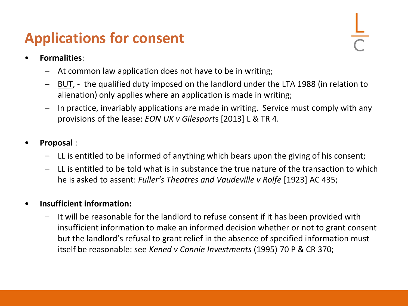### **Applications for consent**

- **Formalities**:
	- At common law application does not have to be in writing;
	- BUT, the qualified duty imposed on the landlord under the LTA 1988 (in relation to alienation) only applies where an application is made in writing;
	- In practice, invariably applications are made in writing. Service must comply with any provisions of the lease: *EON UK v Gilesport*s [2013] L & TR 4.
- **Proposal** :
	- LL is entitled to be informed of anything which bears upon the giving of his consent;
	- LL is entitled to be told what is in substance the true nature of the transaction to which he is asked to assent: *Fuller's Theatres and Vaudeville v Rolfe* [1923] AC 435;

#### • **Insufficient information:**

– It will be reasonable for the landlord to refuse consent if it has been provided with insufficient information to make an informed decision whether or not to grant consent but the landlord's refusal to grant relief in the absence of specified information must itself be reasonable: see *Kened v Connie Investments* (1995) 70 P & CR 370;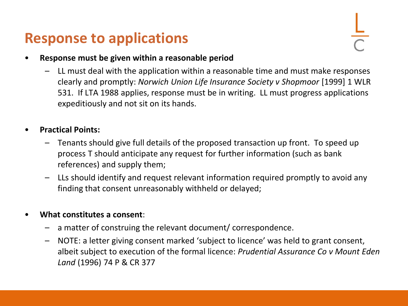#### **Response to applications**

#### • **Response must be given within a reasonable period**

– LL must deal with the application within a reasonable time and must make responses clearly and promptly: *Norwich Union Life Insurance Society v Shopmoor* [1999] 1 WLR 531. If LTA 1988 applies, response must be in writing. LL must progress applications expeditiously and not sit on its hands.

#### • **Practical Points:**

- Tenants should give full details of the proposed transaction up front. To speed up process T should anticipate any request for further information (such as bank references) and supply them;
- LLs should identify and request relevant information required promptly to avoid any finding that consent unreasonably withheld or delayed;

#### • **What constitutes a consent**:

- a matter of construing the relevant document/ correspondence.
- NOTE: a letter giving consent marked 'subject to licence' was held to grant consent, albeit subject to execution of the formal licence: *Prudential Assurance Co v Mount Eden Land* (1996) 74 P & CR 377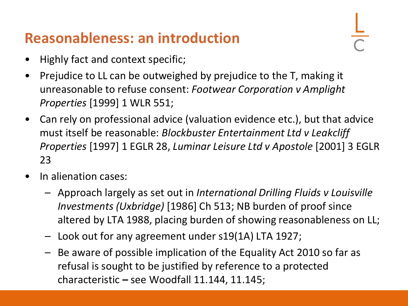#### **Reasonableness: an introduction**

- Highly fact and context specific;
- Prejudice to LL can be outweighed by prejudice to the T, making it unreasonable to refuse consent: *Footwear Corporation v Amplight Properties* [1999] 1 WLR 551;
- Can rely on professional advice (valuation evidence etc.), but that advice must itself be reasonable: *Blockbuster Entertainment Ltd v Leakcliff Properties* [1997] 1 EGLR 28, *Luminar Leisure Ltd v Apostole* [2001] 3 EGLR 23
- In alienation cases:
	- Approach largely as set out in *International Drilling Fluids v Louisville Investments (Uxbridge)* [1986] Ch 513; NB burden of proof since altered by LTA 1988, placing burden of showing reasonableness on LL;
	- Look out for any agreement under s19(1A) LTA 1927;
	- Be aware of possible implication of the Equality Act 2010 so far as refusal is sought to be justified by reference to a protected characteristic **–** see Woodfall 11.144, 11.145;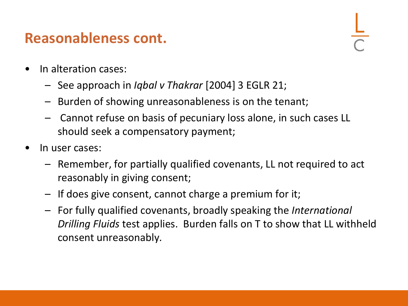#### **Reasonableness cont.**

- In alteration cases:
	- See approach in *Iqbal v Thakrar* [2004] 3 EGLR 21;
	- Burden of showing unreasonableness is on the tenant;
	- Cannot refuse on basis of pecuniary loss alone, in such cases LL should seek a compensatory payment;
- In user cases:
	- Remember, for partially qualified covenants, LL not required to act reasonably in giving consent;
	- If does give consent, cannot charge a premium for it;
	- For fully qualified covenants, broadly speaking the *International Drilling Fluids* test applies. Burden falls on T to show that LL withheld consent unreasonably.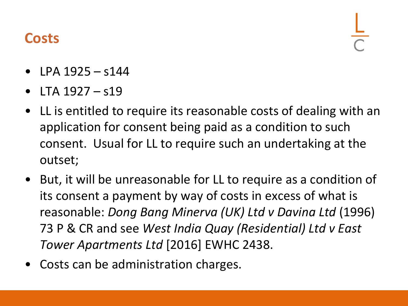#### **Costs**

- LPA  $1925 s144$
- LTA 1927 s19
- LL is entitled to require its reasonable costs of dealing with an application for consent being paid as a condition to such consent. Usual for LL to require such an undertaking at the outset;
- But, it will be unreasonable for LL to require as a condition of its consent a payment by way of costs in excess of what is reasonable: *Dong Bang Minerva (UK) Ltd v Davina Ltd* (1996) 73 P & CR and see *West India Quay (Residential) Ltd v East Tower Apartments Ltd* [2016] EWHC 2438.
- Costs can be administration charges.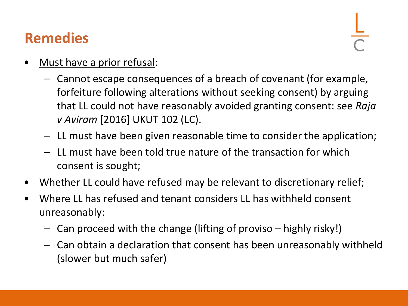#### **Remedies**

- Must have a prior refusal:
	- Cannot escape consequences of a breach of covenant (for example, forfeiture following alterations without seeking consent) by arguing that LL could not have reasonably avoided granting consent: see *Raja v Aviram* [2016] UKUT 102 (LC).
	- LL must have been given reasonable time to consider the application;
	- LL must have been told true nature of the transaction for which consent is sought;
- Whether LL could have refused may be relevant to discretionary relief;
- Where LL has refused and tenant considers LL has withheld consent unreasonably:
	- Can proceed with the change (lifting of proviso highly risky!)
	- Can obtain a declaration that consent has been unreasonably withheld (slower but much safer)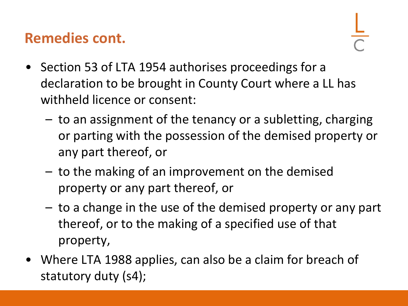#### **Remedies cont.**

- Section 53 of LTA 1954 authorises proceedings for a declaration to be brought in County Court where a LL has withheld licence or consent:
	- to an assignment of the tenancy or a subletting, charging or parting with the possession of the demised property or any part thereof, or
	- to the making of an improvement on the demised property or any part thereof, or
	- to a change in the use of the demised property or any part thereof, or to the making of a specified use of that property,
- Where LTA 1988 applies, can also be a claim for breach of statutory duty (s4);